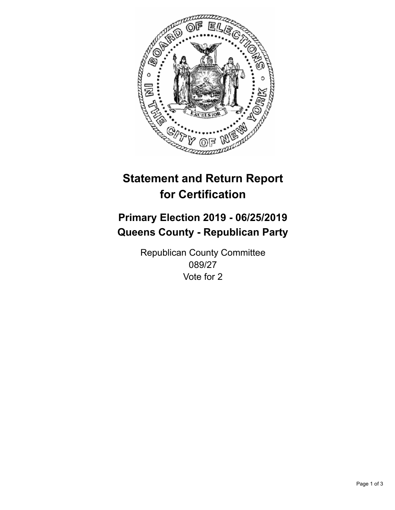

## **Statement and Return Report for Certification**

## **Primary Election 2019 - 06/25/2019 Queens County - Republican Party**

Republican County Committee 089/27 Vote for 2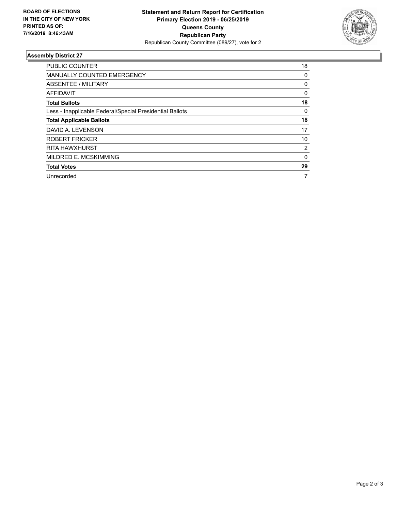

## **Assembly District 27**

| <b>PUBLIC COUNTER</b>                                    | 18       |
|----------------------------------------------------------|----------|
| <b>MANUALLY COUNTED EMERGENCY</b>                        | 0        |
| ABSENTEE / MILITARY                                      | 0        |
| AFFIDAVIT                                                | $\Omega$ |
| <b>Total Ballots</b>                                     | 18       |
| Less - Inapplicable Federal/Special Presidential Ballots | 0        |
| <b>Total Applicable Ballots</b>                          | 18       |
| DAVID A. LEVENSON                                        | 17       |
| <b>ROBERT FRICKER</b>                                    | 10       |
| <b>RITA HAWXHURST</b>                                    | 2        |
| MILDRED E. MCSKIMMING                                    | 0        |
| <b>Total Votes</b>                                       | 29       |
| Unrecorded                                               | 7        |